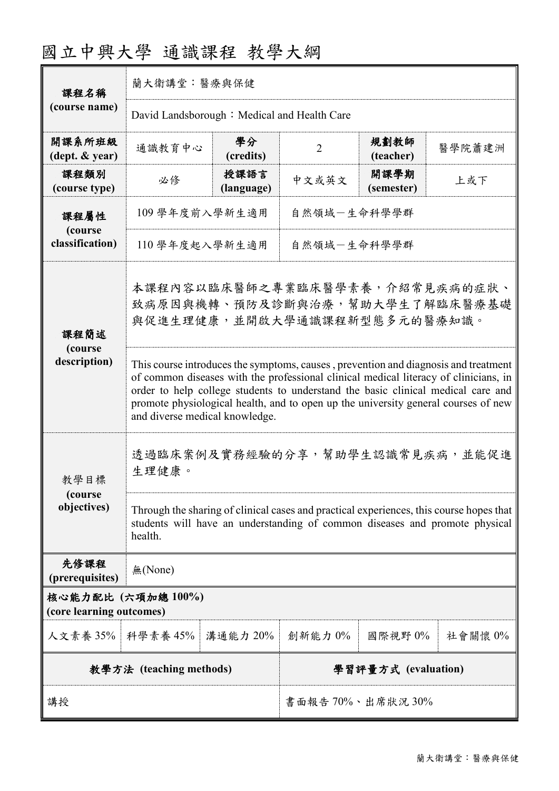| 課程名稱<br>(course name)                         | 蘭大衛講堂:醫療與保健                                                                                                                                                                                                                                                                                                                                                                             |                    |                     |                    |         |
|-----------------------------------------------|-----------------------------------------------------------------------------------------------------------------------------------------------------------------------------------------------------------------------------------------------------------------------------------------------------------------------------------------------------------------------------------------|--------------------|---------------------|--------------------|---------|
|                                               | David Landsborough: Medical and Health Care                                                                                                                                                                                                                                                                                                                                             |                    |                     |                    |         |
| 開課系所班級<br>(dept. & year)                      | 通識教育中心                                                                                                                                                                                                                                                                                                                                                                                  | 學分<br>(credits)    | $\overline{2}$      | 規劃教師<br>(teacher)  | 醫學院蕭建洲  |
| 課程類別<br>(course type)                         | 必修                                                                                                                                                                                                                                                                                                                                                                                      | 授課語言<br>(language) | 中文或英文               | 開課學期<br>(semester) | 上或下     |
| 課程屬性<br>(course<br>classification)            | 自然領域-生命科學學群<br>109 學年度前入學新生適用                                                                                                                                                                                                                                                                                                                                                           |                    |                     |                    |         |
|                                               | 自然領域一生命科學學群<br>110學年度起入學新生適用                                                                                                                                                                                                                                                                                                                                                            |                    |                     |                    |         |
| 課程簡述<br>(course<br>description)               | 本課程內容以臨床醫師之專業臨床醫學素養,介紹常見疾病的症狀、<br>致病原因與機轉、預防及診斷與治療,幫助大學生了解臨床醫療基礎<br>與促進生理健康,並開啟大學通識課程新型態多元的醫療知識。                                                                                                                                                                                                                                                                                        |                    |                     |                    |         |
|                                               | This course introduces the symptoms, causes, prevention and diagnosis and treatment<br>of common diseases with the professional clinical medical literacy of clinicians, in<br>order to help college students to understand the basic clinical medical care and<br>promote physiological health, and to open up the university general courses of new<br>and diverse medical knowledge. |                    |                     |                    |         |
| 教學目標<br>(course)<br>objectives)               | 透過臨床案例及實務經驗的分享,幫助學生認識常見疾病,並能促進<br>生理健康。                                                                                                                                                                                                                                                                                                                                                 |                    |                     |                    |         |
|                                               | Through the sharing of clinical cases and practical experiences, this course hopes that<br>students will have an understanding of common diseases and promote physical<br>health.                                                                                                                                                                                                       |                    |                     |                    |         |
| 先修課程<br>(prerequisites)                       | 無(None)                                                                                                                                                                                                                                                                                                                                                                                 |                    |                     |                    |         |
| 核心能力配比 (六項加總100%)<br>(core learning outcomes) |                                                                                                                                                                                                                                                                                                                                                                                         |                    |                     |                    |         |
| 人文素養 35%   科學素養 45%                           |                                                                                                                                                                                                                                                                                                                                                                                         | 溝通能力 20%           | 創新能力 0%             | 國際視野 0%            | 社會關懷 0% |
| 教學方法 (teaching methods)                       |                                                                                                                                                                                                                                                                                                                                                                                         |                    | 學習評量方式 (evaluation) |                    |         |
| 講授                                            |                                                                                                                                                                                                                                                                                                                                                                                         |                    | 書面報告70%、出席狀況30%     |                    |         |

# 國立中興大學 通識課程 教學大綱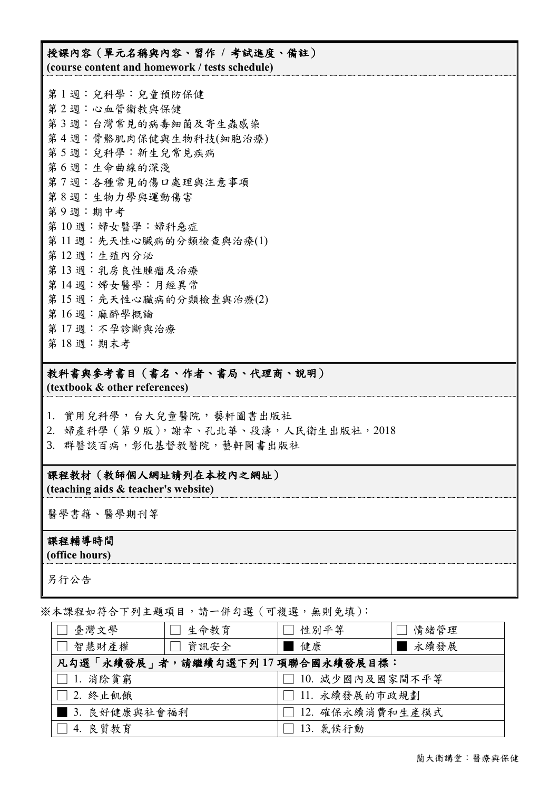## 授課內容(單元名稱與內容、習作 **/** 考試進度、備註) **(course content and homework / tests schedule)**

第 1 週:兒科學:兒童預防保健 第 2 週:心血管衛教與保健 第 3 週:台灣常見的病毒細菌及寄生蟲感染 第 4 週:骨骼肌肉保健與生物科技(細胞治療) 第 5 週:兒科學:新生兒常見疾病 第 6 週:生命曲線的深淺 第 7 週:各種常見的傷口處理與注意事項 第 8 週:生物力學與運動傷害 第 9 週:期中考 第 10 週:婦女醫學:婦科急症 第11週:先天性心臟病的分類檢查與治療(1) 第 12 週:生殖內分泌 第 13 週:乳房良性腫瘤及治療 第 14 週:婦女醫學:月經異常 第15週:先天性心臟病的分類檢查與治療(2) 第16週:麻醉學概論 第 17 週:不孕診斷與治療 第 18 週:期末考

## 教科書與參考書目(書名、作者、書局、代理商、說明)

**(textbook & other references)**

1. 實用兒科學,台大兒童醫院,藝軒圖書出版社

- 2. 婦產科學 (第9版), 謝幸、孔北華、段濤, 人民衛生出版社, 2018
- 3. 群醫談百病,彰化基督教醫院,藝軒圖書出版社

## 課程教材(教師個人網址請列在本校內之網址)

**(teaching aids & teacher's website)**

醫學書籍、醫學期刊等

#### 課程輔導時間

**(office hours)**

另行公告

※本課程如符合下列主題項目,請一併勾選(可複選,無則免填):

| 生命教育<br>臺灣文學                    | 性別平等                 | 情緒管理  |  |  |
|---------------------------------|----------------------|-------|--|--|
| □ 智慧財產權<br>資訊安全                 | 健康                   | 一永續發展 |  |  |
| 凡勾選「永續發展」者,請繼續勾選下列17項聯合國永續發展目標: |                      |       |  |  |
| $ \Box$ 1. 消除貧窮                 | 10. 减少國內及國家間不平等      |       |  |  |
| $\Box$ 2. 终止飢餓                  | $\Box$ 11. 永續發展的市政規劃 |       |  |  |
| ■ 3. 良好健康與社會福利                  | □ 12. 確保永續消費和生產模式    |       |  |  |
| 14. 良質教育<br>$\Box$              | 13. 氣候行動             |       |  |  |